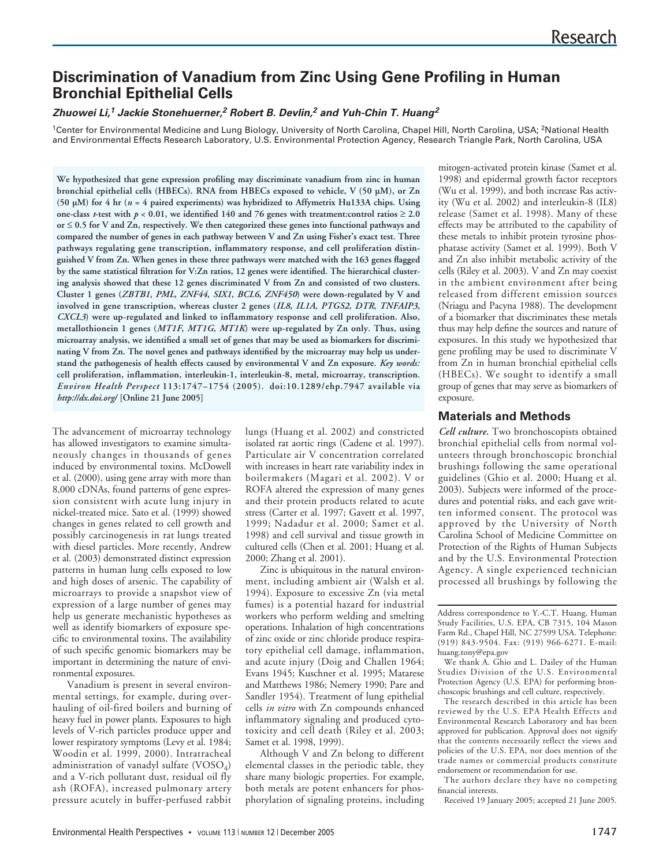# **Discrimination of Vanadium from Zinc Using Gene Profiling in Human Bronchial Epithelial Cells**

## **Zhuowei Li,<sup>1</sup> Jackie Stonehuerner,<sup>2</sup> Robert B. Devlin,<sup>2</sup> and Yuh-Chin T. Huang<sup>2</sup>**

<sup>1</sup>Center for Environmental Medicine and Lung Biology, University of North Carolina, Chapel Hill, North Carolina, USA; <sup>2</sup>National Health and Environmental Effects Research Laboratory, U.S. Environmental Protection Agency, Research Triangle Park, North Carolina, USA

**We hypothesized that gene expression profiling may discriminate vanadium from zinc in human bronchial epithelial cells (HBECs). RNA from HBECs exposed to vehicle, V (50 µM), or Zn (50 µM) for 4 hr (***n* **= 4 paired experiments) was hybridized to Affymetrix Hu133A chips. Using one-class** *t***-test with** *p* < 0.01, we identified 140 and 76 genes with treatment:control ratios ≥ 2.0 **or** ≤ **0.5 for V and Zn, respectively. We then categorized these genes into functional pathways and compared the number of genes in each pathway between V and Zn using Fisher's exact test. Three pathways regulating gene transcription, inflammatory response, and cell proliferation distinguished V from Zn. When genes in these three pathways were matched with the 163 genes flagged by the same statistical filtration for V:Zn ratios, 12 genes were identified. The hierarchical clustering analysis showed that these 12 genes discriminated V from Zn and consisted of two clusters. Cluster 1 genes (***ZBTB1***,** *PML***,** *ZNF44***,** *SIX1***,** *BCL6***,** *ZNF450***) were down-regulated by V and involved in gene transcription, whereas cluster 2 genes (***IL8***,** *IL1A***,** *PTGS2***,** *DTR***,** *TNFAIP3***,** *CXCL3***) were up-regulated and linked to inflammatory response and cell proliferation. Also, metallothionein 1 genes (***MT1F***,** *MT1G***,** *MT1K***) were up-regulated by Zn only. Thus, using microarray analysis, we identified a small set of genes that may be used as biomarkers for discriminating V from Zn. The novel genes and pathways identified by the microarray may help us understand the pathogenesis of health effects caused by environmental V and Zn exposure.** *Key words:* **cell proliferation, inflammation, interleukin-1, interleukin-8, metal, microarray, transcription.** *Environ Health Perspect* **113:1747–1754 (2005). doi:10.1289/ehp.7947 available via** *http://dx.doi.org/* **[Online 21 June 2005]**

The advancement of microarray technology has allowed investigators to examine simultaneously changes in thousands of genes induced by environmental toxins. McDowell et al. (2000), using gene array with more than 8,000 cDNAs, found patterns of gene expression consistent with acute lung injury in nickel-treated mice. Sato et al. (1999) showed changes in genes related to cell growth and possibly carcinogenesis in rat lungs treated with diesel particles. More recently, Andrew et al. (2003) demonstrated distinct expression patterns in human lung cells exposed to low and high doses of arsenic. The capability of microarrays to provide a snapshot view of expression of a large number of genes may help us generate mechanistic hypotheses as well as identify biomarkers of exposure specific to environmental toxins. The availability of such specific genomic biomarkers may be important in determining the nature of environmental exposures.

Vanadium is present in several environmental settings, for example, during overhauling of oil-fired boilers and burning of heavy fuel in power plants. Exposures to high levels of V-rich particles produce upper and lower respiratory symptoms (Levy et al. 1984; Woodin et al. 1999, 2000). Intratracheal administration of vanadyl sulfate  $(VOSO<sub>4</sub>)$ and a V-rich pollutant dust, residual oil fly ash (ROFA), increased pulmonary artery pressure acutely in buffer-perfused rabbit

lungs (Huang et al. 2002) and constricted isolated rat aortic rings (Cadene et al. 1997). Particulate air V concentration correlated with increases in heart rate variability index in boilermakers (Magari et al. 2002). V or ROFA altered the expression of many genes and their protein products related to acute stress (Carter et al. 1997; Gavett et al. 1997, 1999; Nadadur et al. 2000; Samet et al. 1998) and cell survival and tissue growth in cultured cells (Chen et al. 2001; Huang et al. 2000; Zhang et al. 2001).

Zinc is ubiquitous in the natural environment, including ambient air (Walsh et al. 1994). Exposure to excessive Zn (via metal fumes) is a potential hazard for industrial workers who perform welding and smelting operations. Inhalation of high concentrations of zinc oxide or zinc chloride produce respiratory epithelial cell damage, inflammation, and acute injury (Doig and Challen 1964; Evans 1945; Kuschner et al. 1995; Matarese and Matthews 1986; Nemery 1990; Pare and Sandler 1954). Treatment of lung epithelial cells *in vitro* with Zn compounds enhanced inflammatory signaling and produced cytotoxicity and cell death (Riley et al. 2003; Samet et al. 1998, 1999).

Although V and Zn belong to different elemental classes in the periodic table, they share many biologic properties. For example, both metals are potent enhancers for phosphorylation of signaling proteins, including

mitogen-activated protein kinase (Samet et al. 1998) and epidermal growth factor receptors (Wu et al. 1999), and both increase Ras activity (Wu et al. 2002) and interleukin-8 (IL8) release (Samet et al. 1998). Many of these effects may be attributed to the capability of these metals to inhibit protein tyrosine phosphatase activity (Samet et al. 1999). Both V and Zn also inhibit metabolic activity of the cells (Riley et al. 2003). V and Zn may coexist in the ambient environment after being released from different emission sources (Nriagu and Pacyna 1988). The development of a biomarker that discriminates these metals thus may help define the sources and nature of exposures. In this study we hypothesized that gene profiling may be used to discriminate V from Zn in human bronchial epithelial cells (HBECs). We sought to identify a small group of genes that may serve as biomarkers of exposure.

## **Materials and Methods**

*Cell culture.* Two bronchoscopists obtained bronchial epithelial cells from normal volunteers through bronchoscopic bronchial brushings following the same operational guidelines (Ghio et al. 2000; Huang et al. 2003). Subjects were informed of the procedures and potential risks, and each gave written informed consent. The protocol was approved by the University of North Carolina School of Medicine Committee on Protection of the Rights of Human Subjects and by the U.S. Environmental Protection Agency. A single experienced technician processed all brushings by following the

Address correspondence to Y.-C.T. Huang, Human Study Facilities, U.S. EPA, CB 7315, 104 Mason Farm Rd., Chapel Hill, NC 27599 USA. Telephone: (919) 843-9504. Fax: (919) 966-6271. E-mail: huang.tony@epa.gov

We thank A. Ghio and L. Dailey of the Human Studies Division of the U.S. Environmental Protection Agency (U.S. EPA) for performing bronchoscopic brushings and cell culture, respectively.

The research described in this article has been reviewed by the U.S. EPA Health Effects and Environmental Research Laboratory and has been approved for publication. Approval does not signify that the contents necessarily reflect the views and policies of the U.S. EPA, nor does mention of the trade names or commercial products constitute endorsement or recommendation for use.

The authors declare they have no competing financial interests.

Received 19 January 2005; accepted 21 June 2005.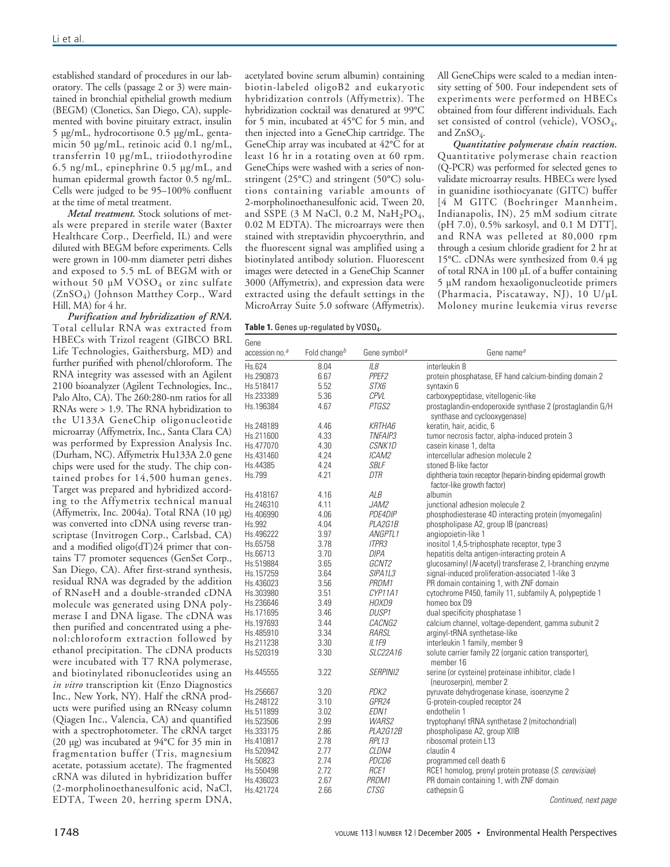established standard of procedures in our laboratory. The cells (passage 2 or 3) were maintained in bronchial epithelial growth medium (BEGM) (Clonetics, San Diego, CA), supplemented with bovine pituitary extract, insulin 5 µg/mL, hydrocortisone 0.5 µg/mL, gentamicin 50 µg/mL, retinoic acid 0.1 ng/mL, transferrin 10 µg/mL, triiodothyrodine 6.5 ng/mL, epinephrine 0.5 µg/mL, and human epidermal growth factor 0.5 ng/mL. Cells were judged to be 95–100% confluent at the time of metal treatment.

*Metal treatment.* Stock solutions of metals were prepared in sterile water (Baxter Healthcare Corp., Deerfield, IL) and were diluted with BEGM before experiments. Cells were grown in 100-mm diameter petri dishes and exposed to 5.5 mL of BEGM with or without 50  $\mu$ M VOSO<sub>4</sub> or zinc sulfate (ZnSO4) (Johnson Matthey Corp., Ward Hill, MA) for 4 hr.

*Purification and hybridization of RNA.* Total cellular RNA was extracted from HBECs with Trizol reagent (GIBCO BRL Life Technologies, Gaithersburg, MD) and further purified with phenol/chloroform. The RNA integrity was assessed with an Agilent 2100 bioanalyzer (Agilent Technologies, Inc., Palo Alto, CA). The 260:280-nm ratios for all RNAs were > 1.9. The RNA hybridization to the U133A GeneChip oligonucleotide microarray (Affymetrix, Inc., Santa Clara CA) was performed by Expression Analysis Inc. (Durham, NC). Affymetrix Hu133A 2.0 gene chips were used for the study. The chip contained probes for 14,500 human genes. Target was prepared and hybridized according to the Affymetrix technical manual (Affymetrix, Inc. 2004a). Total RNA (10 µg) was converted into cDNA using reverse transcriptase (Invitrogen Corp., Carlsbad, CA) and a modified oligo(dT)24 primer that contains T7 promoter sequences (GenSet Corp., San Diego, CA). After first-strand synthesis, residual RNA was degraded by the addition of RNaseH and a double-stranded cDNA molecule was generated using DNA polymerase I and DNA ligase. The cDNA was then purified and concentrated using a phenol:chloroform extraction followed by ethanol precipitation. The cDNA products were incubated with T7 RNA polymerase, and biotinylated ribonucleotides using an *in vitro* transcription kit (Enzo Diagnostics Inc., New York, NY). Half the cRNA products were purified using an RNeasy column (Qiagen Inc., Valencia, CA) and quantified with a spectrophotometer. The cRNA target (20 µg) was incubated at 94°C for 35 min in fragmentation buffer (Tris, magnesium acetate, potassium acetate). The fragmented cRNA was diluted in hybridization buffer (2-morpholinoethanesulfonic acid, NaCl, EDTA, Tween 20, herring sperm DNA,

acetylated bovine serum albumin) containing biotin-labeled oligoB2 and eukaryotic hybridization controls (Affymetrix). The hybridization cocktail was denatured at 99°C for 5 min, incubated at 45°C for 5 min, and then injected into a GeneChip cartridge. The GeneChip array was incubated at 42°C for at least 16 hr in a rotating oven at 60 rpm. GeneChips were washed with a series of nonstringent (25°C) and stringent (50°C) solutions containing variable amounts of 2-morpholinoethanesulfonic acid, Tween 20, and SSPE (3 M NaCl, 0.2 M,  $NaH_2PO_4$ , 0.02 M EDTA). The microarrays were then stained with streptavidin phycoerythrin, and the fluorescent signal was amplified using a biotinylated antibody solution. Fluorescent images were detected in a GeneChip Scanner 3000 (Affymetrix), and expression data were extracted using the default settings in the MicroArray Suite 5.0 software (Affymetrix).

Table 1. Genes up-regulated by VOSO<sub>4</sub>.

All GeneChips were scaled to a median intensity setting of 500. Four independent sets of experiments were performed on HBECs obtained from four different individuals. Each set consisted of control (vehicle), VOSO<sub>4</sub>, and ZnSO<sub>4</sub>.

*Quantitative polymerase chain reaction.* Quantitative polymerase chain reaction (Q-PCR) was performed for selected genes to validate microarray results. HBECs were lysed in guanidine isothiocyanate (GITC) buffer [4 M GITC (Boehringer Mannheim, Indianapolis, IN), 25 mM sodium citrate (pH 7.0), 0.5% sarkosyl, and 0.1 M DTT], and RNA was pelleted at 80,000 rpm through a cesium chloride gradient for 2 hr at 15°C. cDNAs were synthesized from 0.4 µg of total RNA in 100 µL of a buffer containing 5 µM random hexaoligonucleotide primers (Pharmacia, Piscataway, NJ), 10 U/µL Moloney murine leukemia virus reverse

| Gene<br>accession no. <sup>a</sup> | Fold change <sup>b</sup> | Gene symbol <sup>a</sup>         | Gene name <sup>a</sup>                                                                    |
|------------------------------------|--------------------------|----------------------------------|-------------------------------------------------------------------------------------------|
| Hs.624                             | 8.04                     | IL8                              | interleukin 8                                                                             |
| Hs.290873                          | 6.67                     | PPEF <sub>2</sub>                | protein phosphatase, EF hand calcium-binding domain 2                                     |
| Hs.518417                          | 5.52                     | <i>STX6</i>                      | syntaxin 6                                                                                |
| Hs.233389                          | 5.36                     | CPVL                             | carboxypeptidase, vitellogenic-like                                                       |
| Hs.196384                          | 4.67                     | PTGS2                            | prostaglandin-endoperoxide synthase 2 (prostaglandin G/H)<br>synthase and cyclooxygenase) |
| Hs.248189                          | 4.46                     | KRTHA6                           | keratin, hair, acidic, 6                                                                  |
| Hs.211600                          | 4.33                     | TNFAIP3                          | tumor necrosis factor, alpha-induced protein 3                                            |
| Hs.477070                          | 4.30                     | CSNK1D                           | casein kinase 1, delta                                                                    |
| Hs.431460                          | 4.24                     | <i>ICAM2</i>                     | intercellular adhesion molecule 2                                                         |
| Hs.44385                           | 4.24                     | SBLF                             | stoned B-like factor                                                                      |
| Hs.799                             | 4.21                     | DTR                              | diphtheria toxin receptor (heparin-binding epidermal growth                               |
|                                    |                          |                                  | factor-like growth factor)                                                                |
| Hs.418167                          | 4.16                     | ALB                              | albumin                                                                                   |
| Hs.246310                          | 4.11                     | <i>JAM2</i>                      | junctional adhesion molecule 2                                                            |
| Hs.406990                          | 4.06                     | <i>PDE4DIP</i>                   | phosphodiesterase 4D interacting protein (myomegalin)                                     |
| Hs.992                             | 4.04                     | PLA2G1B                          | phospholipase A2, group IB (pancreas)                                                     |
| Hs.496222                          | 3.97                     | <i>ANGPTL1</i>                   | angiopoietin-like 1                                                                       |
| Hs.65758                           | 3.78                     | <b>ITPR3</b>                     | inositol 1,4,5-triphosphate receptor, type 3                                              |
| Hs.66713                           | 3.70                     | <b>DIPA</b>                      | hepatitis delta antigen-interacting protein A                                             |
| Hs.519884                          | 3.65                     | GCNT2                            | glucosaminyl (N-acetyl) transferase 2, I-branching enzyme                                 |
| Hs.157259                          | 3.64                     | SIPA <sub>1</sub> L <sub>3</sub> | signal-induced proliferation-associated 1-like 3                                          |
| Hs.436023                          | 3.56                     | PRDM1                            | PR domain containing 1, with ZNF domain                                                   |
| Hs.303980                          | 3.51                     | CYP11A1                          | cytochrome P450, family 11, subfamily A, polypeptide 1                                    |
| Hs.236646                          | 3.49                     | HOXD9                            | homeo box D9                                                                              |
| Hs.171695                          | 3.46                     | <i>DUSP1</i>                     | dual specificity phosphatase 1                                                            |
| Hs.197693                          | 3.44                     | <i>CACNG2</i>                    | calcium channel, voltage-dependent, gamma subunit 2                                       |
| Hs.485910                          | 3.34                     | RARSL                            | arginyl-tRNA synthetase-like                                                              |
| Hs.211238                          | 3.30                     | IL1F9                            | interleukin 1 family, member 9                                                            |
| Hs.520319                          | 3.30                     | SLC22A16                         | solute carrier family 22 (organic cation transporter),<br>member 16                       |
| Hs.445555                          | 3.22                     | <b>SERPINI2</b>                  | serine (or cysteine) proteinase inhibitor, clade I<br>(neuroserpin), member 2             |
| Hs.256667                          | 3.20                     | PDK2                             | pyruvate dehydrogenase kinase, isoenzyme 2                                                |
| Hs.248122                          | 3.10                     | GPR24                            | G-protein-coupled receptor 24                                                             |
| Hs.511899                          | 3.02                     | EDN <sub>1</sub>                 | endothelin 1                                                                              |
| Hs.523506                          | 2.99                     | <b>WARS2</b>                     | tryptophanyl tRNA synthetase 2 (mitochondrial)                                            |
| Hs.333175                          | 2.86                     | <b>PLA2G12B</b>                  | phospholipase A2, group XIIB                                                              |
| Hs.410817                          | 2.78                     | <b>RPL13</b>                     | ribosomal protein L13                                                                     |
| Hs.520942                          | 2.77                     | <i>CLDN4</i>                     | claudin 4                                                                                 |
| Hs.50823                           | 2.74                     | <i>PDCD6</i>                     | programmed cell death 6                                                                   |
| Hs.550498                          | 2.72                     | RCE <sub>1</sub>                 | RCE1 homolog, prenyl protein protease (S. cerevisiae)                                     |
|                                    | 2.67                     | PRDM1                            | PR domain containing 1, with ZNF domain                                                   |
| Hs.436023                          |                          |                                  |                                                                                           |
| Hs.421724                          | 2.66                     | <b>CTSG</b>                      | cathepsin G                                                                               |

Continued, next page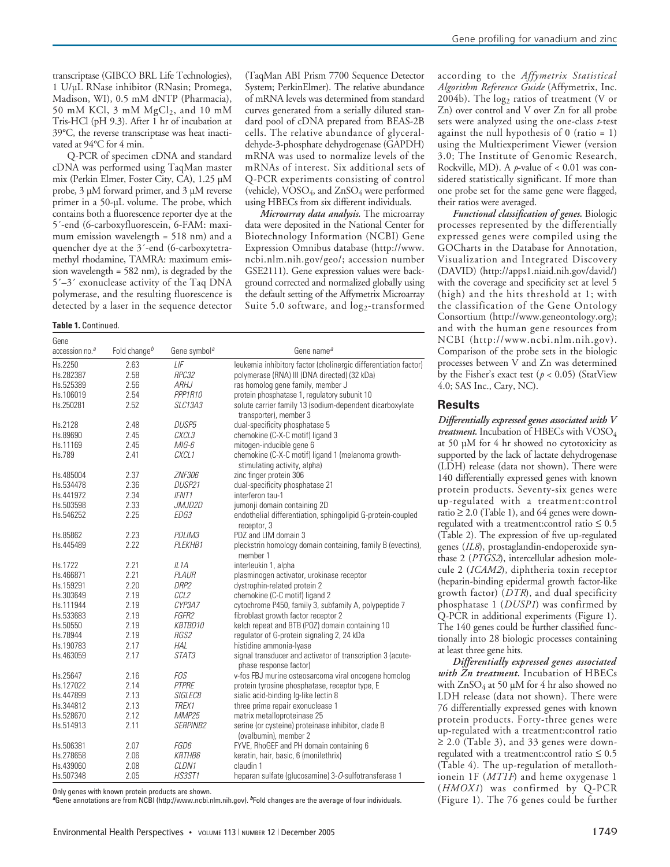transcriptase (GIBCO BRL Life Technologies), 1 U/µL RNase inhibitor (RNasin; Promega, Madison, WI), 0.5 mM dNTP (Pharmacia), 50 mM KCl, 3 mM  $MgCl<sub>2</sub>$ , and 10 mM Tris-HCl (pH 9.3). After 1 hr of incubation at 39°C, the reverse transcriptase was heat inactivated at 94°C for 4 min.

Q-PCR of specimen cDNA and standard cDNA was performed using TaqMan master mix (Perkin Elmer, Foster City, CA), 1.25 µM probe, 3 µM forward primer, and 3 µM reverse primer in a 50-µL volume. The probe, which contains both a fluorescence reporter dye at the 5´-end (6-carboxyfluorescein, 6-FAM: maximum emission wavelength = 518 nm) and a quencher dye at the 3´-end (6-carboxytetramethyl rhodamine, TAMRA: maximum emission wavelength = 582 nm), is degraded by the 5´–3´ exonuclease activity of the Taq DNA polymerase, and the resulting fluorescence is detected by a laser in the sequence detector

#### **Table 1.** Continued.

(TaqMan ABI Prism 7700 Sequence Detector System; PerkinElmer). The relative abundance of mRNA levels was determined from standard curves generated from a serially diluted standard pool of cDNA prepared from BEAS-2B cells. The relative abundance of glyceraldehyde-3-phosphate dehydrogenase (GAPDH) mRNA was used to normalize levels of the mRNAs of interest. Six additional sets of Q-PCR experiments consisting of control (vehicle),  $VOSO_4$ , and  $ZnSO_4$  were performed using HBECs from six different individuals.

*Microarray data analysis.* The microarray data were deposited in the National Center for Biotechnology Information (NCBI) Gene Expression Omnibus database (http://www. ncbi.nlm.nih.gov/geo/; accession number GSE2111). Gene expression values were background corrected and normalized globally using the default setting of the Affymetrix Microarray Suite 5.0 software, and  $log_2$ -transformed

| Gene<br>accession no. <sup>a</sup> | Fold change <sup>b</sup> | Gene symbol <sup>a</sup> | Gene name <sup>a</sup>                                                               |
|------------------------------------|--------------------------|--------------------------|--------------------------------------------------------------------------------------|
| Hs.2250                            | 2.63                     | IIF                      | leukemia inhibitory factor (cholinergic differentiation factor)                      |
| Hs.282387                          | 2.58                     | RPC32                    | polymerase (RNA) III (DNA directed) (32 kDa)                                         |
| Hs.525389                          | 2.56                     | <b>ARHJ</b>              | ras homolog gene family, member J                                                    |
| Hs.106019                          | 2.54                     | PPP1R10                  | protein phosphatase 1, regulatory subunit 10                                         |
| Hs.250281                          | 2.52                     | <b>SLC13A3</b>           | solute carrier family 13 (sodium-dependent dicarboxylate<br>transporter), member 3   |
| Hs.2128                            | 2.48                     | <b>DUSP5</b>             | dual-specificity phosphatase 5                                                       |
| Hs.89690                           | 2.45                     | CXCL3                    | chemokine (C-X-C motif) ligand 3                                                     |
| Hs.11169                           | 2.45                     | $MIG-6$                  | mitogen-inducible gene 6                                                             |
| Hs.789                             | 2.41                     | CXCL1                    | chemokine (C-X-C motif) ligand 1 (melanoma growth-<br>stimulating activity, alpha)   |
| Hs.485004                          | 2.37                     | <b>ZNF306</b>            | zinc finger protein 306                                                              |
| Hs.534478                          | 2.36                     | DUSP21                   | dual-specificity phosphatase 21                                                      |
| Hs.441972                          | 2.34                     | <b>IFNT1</b>             | interferon tau-1                                                                     |
| Hs.503598                          | 2.33                     | JMJD2D                   | jumonji domain containing 2D                                                         |
| Hs.546252                          | 2.25                     | EDG3                     | endothelial differentiation, sphingolipid G-protein-coupled<br>receptor, 3           |
| Hs.85862                           | 2.23                     | PDLIM3                   | PDZ and LIM domain 3                                                                 |
| Hs.445489                          | 2.22                     | PLEKHB1                  | pleckstrin homology domain containing, family B (evectins),<br>member 1              |
| Hs.1722                            | 2.21                     | IL1A                     | interleukin 1, alpha                                                                 |
| Hs.466871                          | 2.21                     | PLAUR                    | plasminogen activator, urokinase receptor                                            |
| Hs.159291                          | 2.20                     | DRP <sub>2</sub>         | dystrophin-related protein 2                                                         |
| Hs.303649                          | 2.19                     | CCL <sub>2</sub>         | chemokine (C-C motif) ligand 2                                                       |
| Hs.111944                          | 2.19                     | CYP3A7                   | cytochrome P450, family 3, subfamily A, polypeptide 7                                |
| Hs.533683                          | 2.19                     | FGFR2                    | fibroblast growth factor receptor 2                                                  |
| Hs.50550                           | 2.19                     | KBTBD10                  | kelch repeat and BTB (POZ) domain containing 10                                      |
| Hs.78944                           | 2.19                     | RGS2                     | regulator of G-protein signaling 2, 24 kDa                                           |
| Hs.190783                          | 2.17                     | HAL                      | histidine ammonia-lyase                                                              |
| Hs.463059                          | 2.17                     | STAT3                    | signal transducer and activator of transcription 3 (acute-<br>phase response factor) |
| Hs.25647                           | 2.16                     | <b>FOS</b>               | v-fos FBJ murine osteosarcoma viral oncogene homolog                                 |
| Hs.127022                          | 2.14                     | PTPRE                    | protein tyrosine phosphatase, receptor type, E                                       |
| Hs.447899                          | 2.13                     | <i>SIGLEC8</i>           | sialic acid-binding Ig-like lectin 8                                                 |
| Hs.344812                          | 2.13                     | TREX1                    | three prime repair exonuclease 1                                                     |
| Hs.528670                          | 2.12                     | MMP25                    | matrix metalloproteinase 25                                                          |
| Hs.514913                          | 2.11                     | SERPINB2                 | serine (or cysteine) proteinase inhibitor, clade B                                   |
|                                    |                          |                          | (ovalbumin), member 2                                                                |
| Hs.506381                          | 2.07                     | FGD6                     | FYVE, RhoGEF and PH domain containing 6                                              |
| Hs.278658                          | 2.06                     | <b>KRTHB6</b>            | keratin, hair, basic, 6 (monilethrix)                                                |
| Hs.439060                          | 2.08                     | CLDN1                    | claudin 1                                                                            |
| Hs.507348                          | 2.05                     | <b>HS3ST1</b>            | heparan sulfate (glucosamine) 3-O-sulfotransferase 1                                 |

Only genes with known protein products are shown.

**a**Gene annotations are from NCBI (http://www.ncbi.nlm.nih.gov). **<sup>b</sup>**Fold changes are the average of four individuals.

according to the *Affymetrix Statistical Algorithm Reference Guide* (Affymetrix, Inc. 2004b). The  $log<sub>2</sub>$  ratios of treatment (V or Zn) over control and V over Zn for all probe sets were analyzed using the one-class *t*-test against the null hypothesis of 0 (ratio = 1) using the Multiexperiment Viewer (version 3.0; The Institute of Genomic Research, Rockville, MD). A *p*-value of < 0.01 was considered statistically significant. If more than one probe set for the same gene were flagged, their ratios were averaged.

*Functional classification of genes.* Biologic processes represented by the differentially expressed genes were compiled using the GOCharts in the Database for Annotation, Visualization and Integrated Discovery (DAVID) (http://apps1.niaid.nih.gov/david/) with the coverage and specificity set at level 5 (high) and the hits threshold at 1; with the classification of the Gene Ontology Consortium (http://www.geneontology.org); and with the human gene resources from NCBI (http://www.ncbi.nlm.nih.gov). Comparison of the probe sets in the biologic processes between V and Zn was determined by the Fisher's exact test ( $p < 0.05$ ) (StatView 4.0; SAS Inc., Cary, NC).

#### **Results**

*Differentially expressed genes associated with V* treatment. Incubation of HBECs with VOSO<sub>4</sub> at 50 µM for 4 hr showed no cytotoxicity as supported by the lack of lactate dehydrogenase (LDH) release (data not shown). There were 140 differentially expressed genes with known protein products. Seventy-six genes were up-regulated with a treatment:control ratio  $\geq$  2.0 (Table 1), and 64 genes were downregulated with a treatment:control ratio ≤ 0.5 (Table 2). The expression of five up-regulated genes (*IL8*), prostaglandin-endoperoxide synthase 2 (*PTGS2*), intercellular adhesion molecule 2 (*ICAM2*), diphtheria toxin receptor (heparin-binding epidermal growth factor-like growth factor) (*DTR*), and dual specificity phosphatase 1 (*DUSP1*) was confirmed by Q-PCR in additional experiments (Figure 1). The 140 genes could be further classified functionally into 28 biologic processes containing at least three gene hits.

*Differentially expressed genes associated with Zn treatment.* Incubation of HBECs with  $ZnSO_4$  at 50 µM for 4 hr also showed no LDH release (data not shown). There were 76 differentially expressed genes with known protein products. Forty-three genes were up-regulated with a treatment:control ratio  $\geq$  2.0 (Table 3), and 33 genes were downregulated with a treatment: control ratio  $\leq 0.5$ (Table 4). The up-regulation of metallothionein 1F (*MT1F*) and heme oxygenase 1 (*HMOX1*) was confirmed by Q-PCR (Figure 1). The 76 genes could be further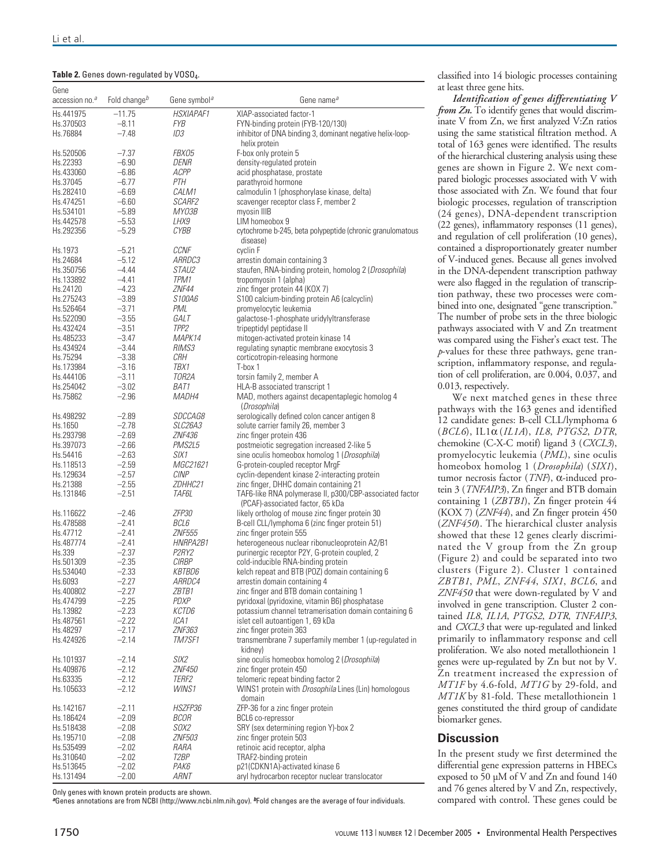| Gene                       | Fold change <sup>b</sup> |                                 |                                                                                                  |
|----------------------------|--------------------------|---------------------------------|--------------------------------------------------------------------------------------------------|
| accession no. <sup>a</sup> |                          | Gene symbol <sup>a</sup>        | Gene name <sup>a</sup>                                                                           |
| Hs.441975                  | $-11.75$                 | <b>HSXIAPAF1</b>                | XIAP-associated factor-1                                                                         |
| Hs.370503<br>Hs.76884      | $-8.11$<br>$-7.48$       | FYB<br>ID3                      | FYN-binding protein (FYB-120/130)<br>inhibitor of DNA binding 3, dominant negative helix-loop-   |
|                            |                          |                                 | helix protein                                                                                    |
| Hs.520506                  | $-7.37$                  | FBX05                           | F-box only protein 5                                                                             |
| Hs.22393                   | $-6.90$                  | DENR                            | density-regulated protein                                                                        |
| Hs.433060                  | $-6.86$                  | ACPP                            | acid phosphatase, prostate                                                                       |
| Hs.37045                   | $-6.77$                  | PTH                             | parathyroid hormone                                                                              |
| Hs.282410<br>Hs.474251     | $-6.69$<br>$-6.60$       | CALM1<br><i>SCARF2</i>          | calmodulin 1 (phosphorylase kinase, delta)<br>scavenger receptor class F, member 2               |
| Hs.534101                  | $-5.89$                  | MY03B                           | myosin IIIB                                                                                      |
| Hs.442578                  | $-5.53$                  | LHX9                            | LIM homeobox 9                                                                                   |
| Hs.292356                  | $-5.29$                  | <b>CYBB</b>                     | cytochrome b-245, beta polypeptide (chronic granulomatous<br>disease)                            |
| Hs.1973                    | $-5.21$                  | <b>CCNF</b>                     | cyclin F                                                                                         |
| Hs.24684                   | $-5.12$                  | <i>ARRDC3</i>                   | arrestin domain containing 3                                                                     |
| Hs.350756                  | $-4.44$                  | <i>STAU2</i>                    | staufen, RNA-binding protein, homolog 2 (Drosophila)                                             |
| Hs.133892<br>Hs.24120      | $-4.41$<br>$-4.23$       | TPM1<br>ZNF44                   | tropomyosin 1 (alpha)<br>zinc finger protein 44 (KOX 7)                                          |
| Hs.275243                  | $-3.89$                  | S100A6                          | S100 calcium-binding protein A6 (calcyclin)                                                      |
| Hs.526464                  | $-3.71$                  | PML                             | promyelocytic leukemia                                                                           |
| Hs.522090                  | $-3.55$                  | GALT                            | galactose-1-phosphate uridylyltransferase                                                        |
| Hs.432424                  | $-3.51$                  | TPP <sub>2</sub>                | tripeptidyl peptidase II                                                                         |
| Hs.485233                  | $-3.47$                  | <i>MAPK14</i>                   | mitogen-activated protein kinase 14                                                              |
| Hs.434924<br>Hs.75294      | $-3.44$<br>$-3.38$       | <i>RIMS3</i><br>CRH             | regulating synaptic membrane exocytosis 3<br>corticotropin-releasing hormone                     |
| Hs.173984                  | $-3.16$                  | TBX1                            | T-box 1                                                                                          |
| Hs.444106                  | $-3.11$                  | TOR2A                           | torsin family 2, member A                                                                        |
| Hs.254042                  | $-3.02$                  | BAT1                            | HLA-B associated transcript 1                                                                    |
| Hs.75862                   | $-2.96$                  | MADH4                           | MAD, mothers against decapentaplegic homolog 4<br>(Drosophila)                                   |
| Hs.498292                  | $-2.89$                  | <i>SDCCAG8</i>                  | serologically defined colon cancer antigen 8                                                     |
| Hs.1650<br>Hs.293798       | $-2.78$<br>$-2.69$       | <i>SLC26A3</i><br><b>ZNF436</b> | solute carrier family 26, member 3<br>zinc finger protein 436                                    |
| Hs.397073                  | $-2.66$                  | PMS2L5                          | postmeiotic segregation increased 2-like 5                                                       |
| Hs.54416                   | $-2.63$                  | SIX1                            | sine oculis homeobox homolog 1 (Drosophila)                                                      |
| Hs.118513                  | $-2.59$                  | MGC21621                        | G-protein-coupled receptor MrgF                                                                  |
| Hs.129634                  | $-2.57$                  | CINP                            | cyclin-dependent kinase 2-interacting protein                                                    |
| Hs.21388                   | $-2.55$                  | ZDHHC21                         | zinc finger, DHHC domain containing 21                                                           |
| Hs.131846                  | $-2.51$                  | TAF6L                           | TAF6-like RNA polymerase II, p300/CBP-associated factor<br>(PCAF)-associated factor, 65 kDa      |
| Hs.116622                  | $-2.46$                  | ZFP30                           | likely ortholog of mouse zinc finger protein 30                                                  |
| Hs.478588<br>Hs.47712      | $-2.41$<br>$-2.41$       | BCL6<br><b>ZNF555</b>           | B-cell CLL/lymphoma 6 (zinc finger protein 51)<br>zinc finger protein 555                        |
| Hs.487774                  | $-2.41$                  | HNRPA2B1                        | heterogeneous nuclear ribonucleoprotein A2/B1                                                    |
| Hs.339                     | $-2.37$                  | P <sub>2</sub> RY <sub>2</sub>  | purinergic receptor P2Y, G-protein coupled, 2                                                    |
| Hs.501309                  | $-2.35$                  | <b>CIRBP</b>                    | cold-inducible RNA-binding protein                                                               |
| Hs.534040                  | $-2.33$                  | <b>KBTBD6</b>                   | kelch repeat and BTB (POZ) domain containing 6                                                   |
| Hs.6093                    | $-2.27$                  | <i>ARRDC4</i>                   | arrestin domain containing 4<br>zinc finger and BTB domain containing 1                          |
| Hs.400802<br>Hs.474799     | $-2.27$<br>$-2.25$       | ZBTB1<br>PDXP                   | pyridoxal (pyridoxine, vitamin B6) phosphatase                                                   |
| Hs.13982                   | $-2.23$                  | KCTD6                           | potassium channel tetramerisation domain containing 6                                            |
| Hs.487561                  | $-2.22$                  | ICA1                            | islet cell autoantigen 1, 69 kDa                                                                 |
| Hs.48297                   | $-2.17$                  | <i>ZNF363</i>                   | zinc finger protein 363                                                                          |
| Hs.424926                  | $-2.14$                  | TM7SF1                          | transmembrane 7 superfamily member 1 (up-regulated in<br>kidney)                                 |
| Hs.101937                  | $-2.14$                  | SIX2                            | sine oculis homeobox homolog 2 (Drosophila)                                                      |
| Hs.409876                  | $-2.12$                  | <b>ZNF450</b>                   | zinc finger protein 450                                                                          |
| Hs.63335<br>Hs.105633      | $-2.12$<br>$-2.12$       | <i>TERF2</i><br>WINS1           | telomeric repeat binding factor 2<br>WINS1 protein with <i>Drosophila</i> Lines (Lin) homologous |
| Hs.142167                  | $-2.11$                  | HSZFP36                         | domain<br>ZFP-36 for a zinc finger protein                                                       |
| Hs.186424                  | $-2.09$                  | BCOR                            | BCL6 co-repressor                                                                                |
| Hs.518438                  | $-2.08$                  | <i>SOX2</i>                     | SRY (sex determining region Y)-box 2                                                             |
| Hs.195710                  | $-2.08$                  | <b>ZNF503</b>                   | zinc finger protein 503                                                                          |
| Hs.535499                  | $-2.02$                  | RARA                            | retinoic acid receptor, alpha                                                                    |
| Hs.310640                  | $-2.02$                  | T2BP                            | TRAF2-binding protein                                                                            |
| Hs.513645                  | $-2.02$                  | РАК6                            | p21(CDKN1A)-activated kinase 6                                                                   |
| Hs.131494                  | $-2.00$                  | ARNT                            | aryl hydrocarbon receptor nuclear translocator                                                   |

Only genes with known protein products are shown.

**a**Genes annotations are from NCBI (http://www.ncbi.nlm.nih.gov). **<sup>b</sup>**Fold changes are the average of four individuals.

classified into 14 biologic processes containing at least three gene hits.

*Identification of genes differentiating V from Zn.* To identify genes that would discriminate V from Zn, we first analyzed V:Zn ratios using the same statistical filtration method. A total of 163 genes were identified. The results of the hierarchical clustering analysis using these genes are shown in Figure 2. We next compared biologic processes associated with V with those associated with Zn. We found that four biologic processes, regulation of transcription (24 genes), DNA-dependent transcription (22 genes), inflammatory responses (11 genes), and regulation of cell proliferation (10 genes), contained a disproportionately greater number of V-induced genes. Because all genes involved in the DNA-dependent transcription pathway were also flagged in the regulation of transcription pathway, these two processes were combined into one, designated "gene transcription." The number of probe sets in the three biologic pathways associated with V and Zn treatment was compared using the Fisher's exact test. The *p*-values for these three pathways, gene transcription, inflammatory response, and regulation of cell proliferation, are 0.004, 0.037, and 0.013, respectively.

We next matched genes in these three pathways with the 163 genes and identified 12 candidate genes: B-cell CLL/lymphoma 6 (*BCL6*), IL1α (*IL1A*), *IL8*, *PTGS2*, *DTR*, chemokine (C-X-C motif) ligand 3 (*CXCL3*), promyelocytic leukemia (*PML*), sine oculis homeobox homolog 1 (*Drosophila*) (*SIX1*), tumor necrosis factor (*TNF*), α-induced protein 3 (*TNFAIP3*), Zn finger and BTB domain containing 1 (*ZBTB1*), Zn finger protein 44 (KOX 7) (*ZNF44*), and Zn finger protein 450 (*ZNF450*). The hierarchical cluster analysis showed that these 12 genes clearly discriminated the V group from the Zn group (Figure 2) and could be separated into two clusters (Figure 2). Cluster 1 contained *ZBTB1*, *PML*, *ZNF44*, *SIX1*, *BCL6*, and *ZNF450* that were down-regulated by V and involved in gene transcription. Cluster 2 contained *IL8*, *IL1A*, *PTGS2*, *DTR*, *TNFAIP3*, and *CXCL3* that were up-regulated and linked primarily to inflammatory response and cell proliferation. We also noted metallothionein 1 genes were up-regulated by Zn but not by V. Zn treatment increased the expression of *MT1F* by 4.6-fold, *MT1G* by 29-fold, and *MT1K* by 81-fold. These metallothionein 1 genes constituted the third group of candidate biomarker genes.

### **Discussion**

In the present study we first determined the differential gene expression patterns in HBECs exposed to 50 µM of V and Zn and found 140 and 76 genes altered by V and Zn, respectively, compared with control. These genes could be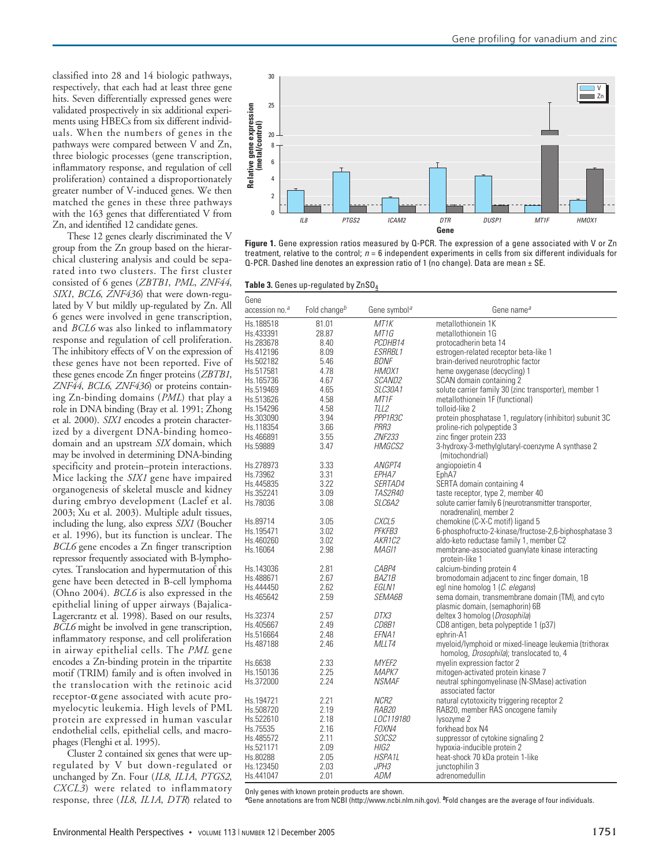classified into 28 and 14 biologic pathways, respectively, that each had at least three gene hits. Seven differentially expressed genes were validated prospectively in six additional experiments using HBECs from six different individuals. When the numbers of genes in the pathways were compared between V and Zn, three biologic processes (gene transcription, inflammatory response, and regulation of cell proliferation) contained a disproportionately greater number of V-induced genes. We then matched the genes in these three pathways with the 163 genes that differentiated V from Zn, and identified 12 candidate genes.

These 12 genes clearly discriminated the V group from the Zn group based on the hierarchical clustering analysis and could be separated into two clusters. The first cluster consisted of 6 genes (*ZBTB1*, *PML*, *ZNF44*, *SIX1*, *BCL6*, *ZNF436*) that were down-regulated by V but mildly up-regulated by Zn. All 6 genes were involved in gene transcription, and *BCL6* was also linked to inflammatory response and regulation of cell proliferation. The inhibitory effects of V on the expression of these genes have not been reported. Five of these genes encode Zn finger proteins (*ZBTB1*, *ZNF44*, *BCL6*, *ZNF436*) or proteins containing Zn-binding domains (*PML*) that play a role in DNA binding (Bray et al. 1991; Zhong et al. 2000). *SIX1* encodes a protein characterized by a divergent DNA-binding homeodomain and an upstream *SIX* domain, which may be involved in determining DNA-binding specificity and protein–protein interactions. Mice lacking the *SIX1* gene have impaired organogenesis of skeletal muscle and kidney during embryo development (Laclef et al. 2003; Xu et al. 2003). Multiple adult tissues, including the lung, also express *SIX1* (Boucher et al. 1996), but its function is unclear. The *BCL6* gene encodes a Zn finger transcription repressor frequently associated with B-lymphocytes. Translocation and hypermutation of this gene have been detected in B-cell lymphoma (Ohno 2004). *BCL6* is also expressed in the epithelial lining of upper airways (Bajalica-Lagercrantz et al. 1998). Based on our results, *BCL6* might be involved in gene transcription, inflammatory response, and cell proliferation in airway epithelial cells. The *PML* gene encodes a Zn-binding protein in the tripartite motif (TRIM) family and is often involved in the translocation with the retinoic acid receptor-α gene associated with acute promyelocytic leukemia. High levels of PML protein are expressed in human vascular endothelial cells, epithelial cells, and macrophages (Flenghi et al. 1995).

Cluster 2 contained six genes that were upregulated by V but down-regulated or unchanged by Zn. Four (*IL8*, *IL1A*, *PTGS2*, *CXCL3*) were related to inflammatory response, three (*IL8*, *IL1A*, *DTR*) related to



**Figure 1.** Gene expression ratios measured by Q-PCR. The expression of a gene associated with V or Zn treatment, relative to the control;  $n = 6$  independent experiments in cells from six different individuals for Q-PCR. Dashed line denotes an expression ratio of 1 (no change). Data are mean ± SE.

|  | Table 3. Genes up-regulated by $ZnSO_4$ |  |
|--|-----------------------------------------|--|
|--|-----------------------------------------|--|

| Gene                       |                          |                          |                                                                                                   |
|----------------------------|--------------------------|--------------------------|---------------------------------------------------------------------------------------------------|
| accession no. <sup>a</sup> | Fold change <sup>b</sup> | Gene symbol <sup>a</sup> | Gene name <sup>a</sup>                                                                            |
| Hs.188518                  | 81.01                    | MT1K                     | metallothionein 1K                                                                                |
| Hs.433391                  | 28.87                    | MT1G                     | metallothionein 1G                                                                                |
| Hs.283678                  | 8.40                     | PCDHB14                  | protocadherin beta 14                                                                             |
| Hs.412196                  | 8.09                     | <b>ESRRBL1</b>           | estrogen-related receptor beta-like 1                                                             |
| Hs.502182                  | 5.46                     | <b>BDNF</b>              | brain-derived neurotrophic factor                                                                 |
| Hs.517581                  | 4.78                     | HMOX1                    | heme oxygenase (decycling) 1                                                                      |
| Hs.165736                  | 4.67                     | <i>SCAND2</i>            | SCAN domain containing 2                                                                          |
| Hs.519469                  | 4.65                     | SLC30A1                  | solute carrier family 30 (zinc transporter), member 1                                             |
| Hs.513626                  | 4.58                     | MT1F                     | metallothionein 1F (functional)                                                                   |
| Hs.154296                  | 4.58                     | TLL2                     | tolloid-like 2                                                                                    |
| Hs.303090                  | 3.94                     | PPP1R3C                  | protein phosphatase 1, regulatory (inhibitor) subunit 3C                                          |
| Hs.118354                  | 3.66                     | PRR3                     | proline-rich polypeptide 3                                                                        |
| Hs.466891                  | 3.55                     | <b>ZNF233</b>            | zinc finger protein 233                                                                           |
| Hs.59889                   | 3.47                     | <b>HMGCS2</b>            | 3-hydroxy-3-methylglutaryl-coenzyme A synthase 2<br>(mitochondrial)                               |
| Hs.278973                  | 3.33                     | ANGPT4                   | angiopoietin 4                                                                                    |
| Hs.73962                   | 3.31                     | EPHA7                    | EphA7                                                                                             |
| Hs.445835                  | 3.22                     | <i>SERTAD4</i>           | SERTA domain containing 4                                                                         |
| Hs.352241                  | 3.09                     | <i>TAS2R40</i>           | taste receptor, type 2, member 40                                                                 |
| Hs.78036                   | 3.08                     | <i>SLC6A2</i>            | solute carrier family 6 (neurotransmitter transporter,<br>noradrenalin), member 2                 |
| Hs.89714                   | 3.05                     | CXCL5                    | chemokine (C-X-C motif) ligand 5                                                                  |
| Hs.195471                  | 3.02                     | PFKFB3                   | 6-phosphofructo-2-kinase/fructose-2,6-biphosphatase 3                                             |
| Hs.460260                  | 3.02                     | AKR1C2                   | aldo-keto reductase family 1, member C2                                                           |
| Hs.16064                   | 2.98                     | MAG11                    | membrane-associated guanylate kinase interacting<br>protein-like 1                                |
| Hs.143036                  | 2.81                     | CABP4                    | calcium-binding protein 4                                                                         |
| Hs.488671                  | 2.67                     | <b>BAZ1B</b>             | bromodomain adjacent to zinc finger domain, 1B                                                    |
| Hs.444450                  | 2.62                     | EGLN1                    | egl nine homolog 1 (C. elegans)                                                                   |
| Hs.465642                  | 2.59                     | <i>SEMA6B</i>            | sema domain, transmembrane domain (TM), and cyto<br>plasmic domain, (semaphorin) 6B               |
| Hs.32374                   | 2.57                     | DTX3                     | deltex 3 homolog (Drosophila)                                                                     |
| Hs.405667                  | 2.49                     | CD8B1                    | CD8 antigen, beta polypeptide 1 (p37)                                                             |
| Hs.516664                  | 2.48                     | EFNA1                    | ephrin-A1                                                                                         |
| Hs.487188                  | 2.46                     | MLLT4                    | myeloid/lymphoid or mixed-lineage leukemia (trithorax<br>homolog, Drosophila); translocated to, 4 |
| Hs.6638                    | 2.33                     | MYEF2                    | myelin expression factor 2                                                                        |
| Hs.150136                  | 2.25                     | MAPK7                    | mitogen-activated protein kinase 7                                                                |
| Hs.372000                  | 2.24                     | <b>NSMAF</b>             | neutral sphingomyelinase (N-SMase) activation<br>associated factor                                |
| Hs.194721                  | 2.21                     | NCR <sub>2</sub>         | natural cytotoxicity triggering receptor 2                                                        |
| Hs.508720                  | 2.19                     | <i>RAB20</i>             | RAB20, member RAS oncogene family                                                                 |
| Hs.522610                  | 2.18                     | LOC119180                | lysozyme 2                                                                                        |
| Hs.75535                   | 2.16                     | FOXN4                    | forkhead box N4                                                                                   |
| Hs.485572                  | 2.11                     | SOCS2                    | suppressor of cytokine signaling 2                                                                |
| Hs.521171                  | 2.09                     | HIG2                     | hypoxia-inducible protein 2                                                                       |
| Hs.80288                   | 2.05                     | <b>HSPA1L</b>            | heat-shock 70 kDa protein 1-like                                                                  |
| Hs.123450                  | 2.03                     | JPH3                     | junctophilin 3                                                                                    |
| Hs.441047                  | 2.01                     | <b>ADM</b>               | adrenomedullin                                                                                    |

Only genes with known protein products are shown.

**a**Gene annotations are from NCBI (http://www.ncbi.nlm.nih.gov). **<sup>b</sup>**Fold changes are the average of four individuals.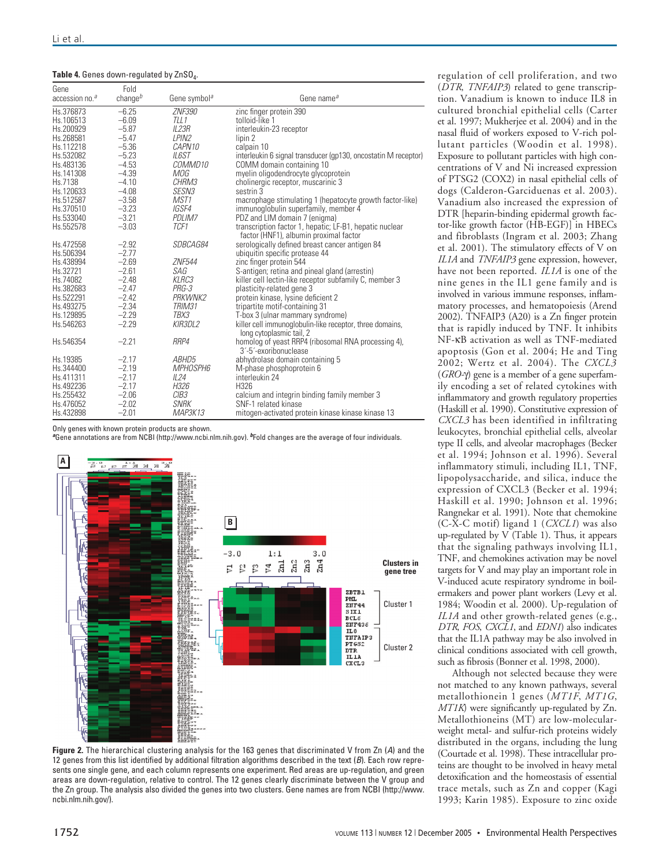| Table 4. Genes down-regulated by ZnSO <sub>4</sub> . |  |
|------------------------------------------------------|--|
|------------------------------------------------------|--|

| Gene<br>accession no. <sup>a</sup> | Fold<br>change $b$ | Gene symbol <sup>a</sup> | Gene name <sup>a</sup>                                                                            |
|------------------------------------|--------------------|--------------------------|---------------------------------------------------------------------------------------------------|
| Hs.376873                          | $-6.25$            | <b>ZNF390</b>            | zinc finger protein 390                                                                           |
| Hs.106513                          | $-6.09$            | TLL1                     | tolloid-like 1                                                                                    |
| Hs.200929                          | $-5.87$            | <b>IL23R</b>             | interleukin-23 receptor                                                                           |
| Hs.268581                          | $-5.47$            | LPIN <sub>2</sub>        | lipin 2                                                                                           |
| Hs.112218                          | $-5.36$            | <i>CAPN10</i>            | calpain 10                                                                                        |
| Hs.532082                          | $-5.23$            | <b>ILGST</b>             | interleukin 6 signal transducer (gp130, oncostatin M receptor)                                    |
| Hs.483136                          | $-4.53$            | <i>COMMD10</i>           | COMM domain containing 10                                                                         |
| Hs.141308                          | $-4.39$            | MOG                      | myelin oligodendrocyte glycoprotein                                                               |
| Hs.7138                            | $-4.10$            | CHRM3                    | cholinergic receptor, muscarinic 3                                                                |
| Hs.120633                          | $-4.08$            | <i>SESN3</i>             | sestrin 3                                                                                         |
| Hs.512587                          | $-3.58$            | MST1                     | macrophage stimulating 1 (hepatocyte growth factor-like)                                          |
| Hs.370510                          | $-3.23$            | IGSF4                    | immunoglobulin superfamily, member 4                                                              |
| Hs.533040                          | $-3.21$            | PDLIM7                   | PDZ and LIM domain 7 (enigma)                                                                     |
| Hs.552578                          | $-3.03$            | TCF1                     | transcription factor 1, hepatic; LF-B1, hepatic nuclear<br>factor (HNF1), albumin proximal factor |
| Hs.472558                          | $-2.92$            | <i>SDBCAG84</i>          | serologically defined breast cancer antigen 84                                                    |
| Hs.506394                          | $-2.77$            |                          | ubiquitin specific protease 44                                                                    |
| Hs.438994                          | $-2.69$            | <b>ZNF544</b>            | zinc finger protein 544                                                                           |
| Hs.32721                           | $-2.61$            | SAG                      | S-antigen; retina and pineal gland (arrestin)                                                     |
| Hs.74082                           | $-2.48$            | KLRC3                    | killer cell lectin-like receptor subfamily C, member 3                                            |
| Hs.382683                          | $-2.47$            | $PRG-3$                  | plasticity-related gene 3                                                                         |
| Hs.522291                          | $-2.42$            | PRKWNK2                  | protein kinase, lysine deficient 2                                                                |
| Hs.493275                          | $-2.34$            | TRIM31                   | tripartite motif-containing 31                                                                    |
| Hs.129895                          | $-2.29$            | TBX3                     | T-box 3 (ulnar mammary syndrome)                                                                  |
| Hs.546263                          | $-2.29$            | KIR3DL2                  | killer cell immunoglobulin-like receptor, three domains,<br>long cytoplasmic tail, 2              |
| Hs.546354                          | $-2.21$            | RRP4                     | homolog of yeast RRP4 (ribosomal RNA processing 4),<br>3'-5'-exoribonuclease                      |
| Hs.19385                           | $-2.17$            | ABHD5                    | abhydrolase domain containing 5                                                                   |
| Hs.344400                          | $-2.19$            | <i>MPHOSPH6</i>          | M-phase phosphoprotein 6                                                                          |
| Hs.411311                          | $-2.17$            | IL24                     | interleukin 24                                                                                    |
| Hs.492236                          | $-2.17$            | H326                     | H326                                                                                              |
| Hs.255432                          | $-2.06$            | CIB <sub>3</sub>         | calcium and integrin binding family member 3                                                      |
| Hs.476052                          | $-2.02$            | <b>SNRK</b>              | SNF-1 related kinase                                                                              |
| Hs.432898                          | $-2.01$            | MAP3K13                  | mitogen-activated protein kinase kinase kinase 13                                                 |

Only genes with known protein products are shown.

**<sup>a</sup>**Gene annotations are from NCBI (http://www.ncbi.nlm.nih.gov). **<sup>b</sup>**Fold changes are the average of four individuals.



**Figure 2.** The hierarchical clustering analysis for the 163 genes that discriminated V from Zn (A) and the 12 genes from this list identified by additional filtration algorithms described in the text (B). Each row represents one single gene, and each column represents one experiment. Red areas are up-regulation, and green areas are down-regulation, relative to control. The 12 genes clearly discriminate between the V group and the Zn group. The analysis also divided the genes into two clusters. Gene names are from NCBI (http://www. ncbi.nlm.nih.gov/).

regulation of cell proliferation, and two (*DTR*, *TNFAIP3*) related to gene transcription. Vanadium is known to induce IL8 in cultured bronchial epithelial cells (Carter et al. 1997; Mukherjee et al. 2004) and in the nasal fluid of workers exposed to V-rich pollutant particles (Woodin et al. 1998). Exposure to pollutant particles with high concentrations of V and Ni increased expression of PTSG2 (COX2) in nasal epithelial cells of dogs (Calderon-Garciduenas et al. 2003). Vanadium also increased the expression of DTR [heparin-binding epidermal growth factor-like growth factor (HB-EGF)] in HBECs and fibroblasts (Ingram et al. 2003; Zhang et al. 2001). The stimulatory effects of V on *IL1A* and *TNFAIP3* gene expression, however, have not been reported. *IL1A* is one of the nine genes in the IL1 gene family and is involved in various immune responses, inflammatory processes, and hematopoiesis (Arend 2002). TNFAIP3 (A20) is a Zn finger protein that is rapidly induced by TNF. It inhibits NF-κB activation as well as TNF-mediated apoptosis (Gon et al. 2004; He and Ting 2002; Wertz et al. 2004). The *CXCL3* (*GRO-*γ) gene is a member of a gene superfamily encoding a set of related cytokines with inflammatory and growth regulatory properties (Haskill et al. 1990). Constitutive expression of *CXCL3* has been identified in infiltrating leukocytes, bronchial epithelial cells, alveolar type II cells, and alveolar macrophages (Becker et al. 1994; Johnson et al. 1996). Several inflammatory stimuli, including IL1, TNF, lipopolysaccharide, and silica, induce the expression of CXCL3 (Becker et al. 1994; Haskill et al. 1990; Johnson et al. 1996; Rangnekar et al. 1991). Note that chemokine (C-X-C motif) ligand 1 (*CXCL1*) was also up-regulated by  $V$  (Table 1). Thus, it appears that the signaling pathways involving IL1, TNF, and chemokines activation may be novel targets for V and may play an important role in V-induced acute respiratory syndrome in boilermakers and power plant workers (Levy et al. 1984; Woodin et al. 2000). Up-regulation of *IL1A* and other growth-related genes (e.g., *DTR*, *FOS*, *CXCL1*, and *EDN1*) also indicates that the IL1A pathway may be also involved in clinical conditions associated with cell growth, such as fibrosis (Bonner et al. 1998, 2000).

Although not selected because they were not matched to any known pathways, several metallothionein 1 genes (*MT1F*, *MT1G*, *MT1K*) were significantly up-regulated by Zn. Metallothioneins (MT) are low-molecularweight metal- and sulfur-rich proteins widely distributed in the organs, including the lung (Courtade et al. 1998). These intracellular proteins are thought to be involved in heavy metal detoxification and the homeostasis of essential trace metals, such as Zn and copper (Kagi 1993; Karin 1985). Exposure to zinc oxide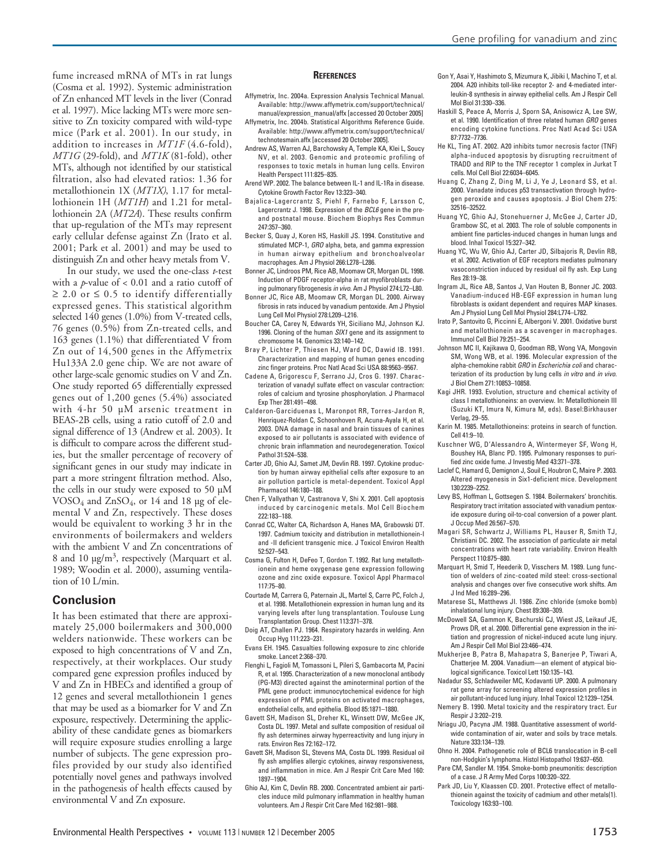fume increased mRNA of MTs in rat lungs (Cosma et al. 1992). Systemic administration of Zn enhanced MT levels in the liver (Conrad et al. 1997). Mice lacking MTs were more sensitive to Zn toxicity compared with wild-type mice (Park et al. 2001). In our study, in addition to increases in *MT1F* (4.6-fold), *MT1G* (29-fold), and *MT1K* (81-fold), other MTs, although not identified by our statistical filtration, also had elevated ratios: 1.36 for metallothionein 1X (*MT1X)*, 1.17 for metallothionein 1H (*MT1H*) and 1.21 for metallothionein 2A (*MT2A*). These results confirm that up-regulation of the MTs may represent early cellular defense against Zn (Irato et al. 2001; Park et al. 2001) and may be used to distinguish Zn and other heavy metals from V.

In our study, we used the one-class *t*-test with a *p*-value of < 0.01 and a ratio cutoff of  $\geq$  2.0 or  $\leq$  0.5 to identify differentially expressed genes. This statistical algorithm selected 140 genes (1.0%) from V-treated cells, 76 genes (0.5%) from Zn-treated cells, and 163 genes (1.1%) that differentiated V from Zn out of 14,500 genes in the Affymetrix Hu133A 2.0 gene chip. We are not aware of other large-scale genomic studies on V and Zn. One study reported 65 differentially expressed genes out of 1,200 genes (5.4%) associated with 4-hr 50 µM arsenic treatment in BEAS-2B cells, using a ratio cutoff of 2.0 and signal difference of 13 (Andrew et al. 2003). It is difficult to compare across the different studies, but the smaller percentage of recovery of significant genes in our study may indicate in part a more stringent filtration method. Also, the cells in our study were exposed to 50 µM  $VOSO<sub>4</sub>$  and  $ZnSO<sub>4</sub>$ , or 14 and 18 µg of elemental V and Zn, respectively. These doses would be equivalent to working 3 hr in the environments of boilermakers and welders with the ambient V and Zn concentrations of 8 and 10  $\mu$ g/m<sup>3</sup>, respectively (Marquart et al. 1989; Woodin et al. 2000), assuming ventilation of 10 L/min.

### **Conclusion**

It has been estimated that there are approximately 25,000 boilermakers and 300,000 welders nationwide. These workers can be exposed to high concentrations of V and Zn, respectively, at their workplaces. Our study compared gene expression profiles induced by V and Zn in HBECs and identified a group of 12 genes and several metallothionein 1 genes that may be used as a biomarker for V and Zn exposure, respectively. Determining the applicability of these candidate genes as biomarkers will require exposure studies enrolling a large number of subjects. The gene expression profiles provided by our study also identified potentially novel genes and pathways involved in the pathogenesis of health effects caused by environmental V and Zn exposure.

#### **REFERENCES**

- Affymetrix, Inc. 2004a. Expression Analysis Technical Manual. Available: http://www.affymetrix.com/support/technical/ manual/expression\_manual/affx [accessed 20 October 2005]
- Affymetrix, Inc. 2004b. Statistical Algorithms Reference Guide. Available: http://www.affymetrix.com/support/technical/ technotesmain.affx [accessed 20 October 2005].
- Andrew AS, Warren AJ, Barchowsky A, Temple KA, Klei L, Soucy NV, et al. 2003. Genomic and proteomic profiling of responses to toxic metals in human lung cells. Environ Health Perspect 111:825–835.
- Arend WP. 2002. The balance between IL-1 and IL-1Ra in disease. Cytokine Growth Factor Rev 13:323–340.
- Bajalica-Lagercrantz S, Piehl F, Farnebo F, Larsson C, Lagercrantz J. 1998. Expression of the BCL6 gene in the preand postnatal mouse. Biochem Biophys Res Commun 247:357–360.
- Becker S, Quay J, Koren HS, Haskill JS. 1994. Constitutive and stimulated MCP-1, GRO alpha, beta, and gamma expression in human airway epithelium and bronchoalveolar macrophages. Am J Physiol 266:L278–L286.
- Bonner JC, Lindroos PM, Rice AB, Moomaw CR, Morgan DL. 1998. Induction of PDGF receptor-alpha in rat myofibroblasts during pulmonary fibrogenesis in vivo. Am J Physiol 274:L72–L80.
- Bonner JC, Rice AB, Moomaw CR, Morgan DL. 2000. Airway fibrosis in rats induced by vanadium pentoxide. Am J Physiol Lung Cell Mol Physiol 278:L209–L216.
- Boucher CA, Carey N, Edwards YH, Siciliano MJ, Johnson KJ. 1996. Cloning of the human SIX1 gene and its assignment to chromosome 14. Genomics 33:140–142.
- Bray P, Lichter P, Thiesen HJ, Ward DC, Dawid IB. 1991. Characterization and mapping of human genes encoding zinc finger proteins. Proc Natl Acad Sci USA 88:9563–9567.
- Cadene A, Grigorescu F, Serrano JJ, Cros G. 1997. Characterization of vanadyl sulfate effect on vascular contraction: roles of calcium and tyrosine phosphorylation. J Pharmacol Exp Ther 281:491–498.
- Calderon-Garciduenas L, Maronpot RR, Torres-Jardon R, Henriquez-Roldan C, Schoonhoven R, Acuna-Ayala H, et al. 2003. DNA damage in nasal and brain tissues of canines exposed to air pollutants is associated with evidence of chronic brain inflammation and neurodegeneration. Toxicol Pathol 31:524–538.
- Carter JD, Ghio AJ, Samet JM, Devlin RB. 1997. Cytokine production by human airway epithelial cells after exposure to an air pollution particle is metal-dependent. Toxicol Appl Pharmacol 146:180–188.
- Chen F, Vallyathan V, Castranova V, Shi X. 2001. Cell apoptosis induced by carcinogenic metals. Mol Cell Biochem 222:183–188.
- Conrad CC, Walter CA, Richardson A, Hanes MA, Grabowski DT. 1997. Cadmium toxicity and distribution in metallothionein-I and -II deficient transgenic mice. J Toxicol Environ Health 52:527–543.
- Cosma G, Fulton H, DeFeo T, Gordon T. 1992. Rat lung metallothionein and heme oxygenase gene expression following ozone and zinc oxide exposure. Toxicol Appl Pharmacol 117:75–80.
- Courtade M, Carrera G, Paternain JL, Martel S, Carre PC, Folch J, et al. 1998. Metallothionein expression in human lung and its varying levels after lung transplantation. Toulouse Lung Transplantation Group. Chest 113:371–378.
- Doig AT, Challen PJ. 1964. Respiratory hazards in welding. Ann Occup Hyg 111:223–231.
- Evans EH. 1945. Casualties following exposure to zinc chloride smoke. Lancet 2:368–370.
- Flenghi L, Fagioli M, Tomassoni L, Pileri S, Gambacorta M, Pacini R, et al. 1995. Characterization of a new monoclonal antibody (PG-M3) directed against the aminoterminal portion of the PML gene product: immunocytochemical evidence for high expression of PML proteins on activated macrophages, endothelial cells, and epithelia. Blood 85:1871–1880.
- Gavett SH, Madison SL, Dreher KL, Winsett DW, McGee JK, Costa DL. 1997. Metal and sulfate composition of residual oil fly ash determines airway hyperreactivity and lung injury in rats. Environ Res 72:162–172.
- Gavett SH, Madison SL, Stevens MA, Costa DL. 1999. Residual oil fly ash amplifies allergic cytokines, airway responsiveness, and inflammation in mice. Am J Respir Crit Care Med 160: 1897–1904.
- Ghio AJ, Kim C, Devlin RB. 2000. Concentrated ambient air particles induce mild pulmonary inflammation in healthy human volunteers. Am J Respir Crit Care Med 162:981–988.
- Gon Y, Asai Y, Hashimoto S, Mizumura K, Jibiki I, Machino T, et al. 2004. A20 inhibits toll-like receptor 2- and 4-mediated interleukin-8 synthesis in airway epithelial cells. Am J Respir Cell Mol Biol 31:330–336.
- Haskill S, Peace A, Morris J, Sporn SA, Anisowicz A, Lee SW, et al. 1990. Identification of three related human GRO genes encoding cytokine functions. Proc Natl Acad Sci USA 87:7732–7736.
- He KL, Ting AT. 2002. A20 inhibits tumor necrosis factor (TNF) alpha-induced apoptosis by disrupting recruitment of TRADD and RIP to the TNF receptor 1 complex in Jurkat T cells. Mol Cell Biol 22:6034–6045.
- Huang C, Zhang Z, Ding M, Li J, Ye J, Leonard SS, et al. 2000. Vanadate induces p53 transactivation through hydrogen peroxide and causes apoptosis. J Biol Chem 275: 32516–32522.
- Huang YC, Ghio AJ, Stonehuerner J, McGee J, Carter JD, Grambow SC, et al. 2003. The role of soluble components in ambient fine particles-induced changes in human lungs and blood. Inhal Toxicol 15:327–342.
- Huang YC, Wu W, Ghio AJ, Carter JD, Silbajoris R, Devlin RB, et al. 2002. Activation of EGF receptors mediates pulmonary vasoconstriction induced by residual oil fly ash. Exp Lung Res 28:19–38.
- Ingram JL, Rice AB, Santos J, Van Houten B, Bonner JC. 2003. Vanadium-induced HB-EGF expression in human lung fibroblasts is oxidant dependent and requires MAP kinases. Am J Physiol Lung Cell Mol Physiol 284:L774–L782.
- Irato P, Santovito G, Piccinni E, Albergoni V. 2001. Oxidative burst and metallothionein as a scavenger in macrophages. Immunol Cell Biol 79:251–254.
- Johnson MC II, Kajikawa O, Goodman RB, Wong VA, Mongovin SM, Wong WB, et al. 1996. Molecular expression of the alpha-chemokine rabbit GRO in Escherichia coli and characterization of its production by lung cells in vitro and in vivo. J Biol Chem 271:10853–10858.
- Kagi JHR. 1993. Evolution, structure and chemical activity of class I metallothioneins: an overview. In: Metallothionein III (Suzuki KT, Imura N, Kimura M, eds). Basel:Birkhauser Verlag, 29–55.
- Karin M. 1985. Metallothioneins: proteins in search of function. Cell 41:9–10.
- Kuschner WG, D'Alessandro A, Wintermeyer SF, Wong H, Boushey HA, Blanc PD. 1995. Pulmonary responses to purified zinc oxide fume. J Investig Med 43:371–378.
- Laclef C, Hamard G, Demignon J, Souil E, Houbron C, Maire P. 2003. Altered myogenesis in Six1-deficient mice. Development 130:2239–2252.
- Levy BS, Hoffman L, Gottsegen S. 1984. Boilermakers' bronchitis. Respiratory tract irritation associated with vanadium pentoxide exposure during oil-to-coal conversion of a power plant. J Occup Med 26:567–570.
- Magari SR, Schwartz J, Williams PL, Hauser R, Smith TJ, Christiani DC. 2002. The association of particulate air metal concentrations with heart rate variability. Environ Health Perspect 110:875–880.
- Marquart H, Smid T, Heederik D, Visschers M. 1989. Lung function of welders of zinc-coated mild steel: cross-sectional analysis and changes over five consecutive work shifts. Am J Ind Med 16:289–296.
- Matarese SL, Matthews JI. 1986. Zinc chloride (smoke bomb) inhalational lung injury. Chest 89:308–309.
- McDowell SA, Gammon K, Bachurski CJ, Wiest JS, Leikauf JE, Prows DR, et al. 2000. Differential gene expression in the initiation and progression of nickel-induced acute lung injury. Am J Respir Cell Mol Biol 23:466–474.
- Mukherjee B, Patra B, Mahapatra S, Banerjee P, Tiwari A, Chatterjee M. 2004. Vanadium—an element of atypical biological significance. Toxicol Lett 150:135–143.
- Nadadur SS, Schladweiler MC, Kodavanti UP. 2000. A pulmonary rat gene array for screening altered expression profiles in air pollutant-induced lung injury. Inhal Toxicol 12:1239–1254.
- Nemery B. 1990. Metal toxicity and the respiratory tract. Eur Respir J 3:202–219.
- Nriagu JO, Pacyna JM. 1988. Quantitative assessment of worldwide contamination of air, water and soils by trace metals. Nature 333:134–139.
- Ohno H. 2004. Pathogenetic role of BCL6 translocation in B-cell non-Hodgkin's lymphoma. Histol Histopathol 19:637–650.
- Pare CM, Sandler M. 1954. Smoke-bomb pneumonitis: description of a case. J R Army Med Corps 100:320–322.
- Park JD, Liu Y, Klaassen CD. 2001. Protective effect of metallothionein against the toxicity of cadmium and other metals(1). Toxicology 163:93–100.